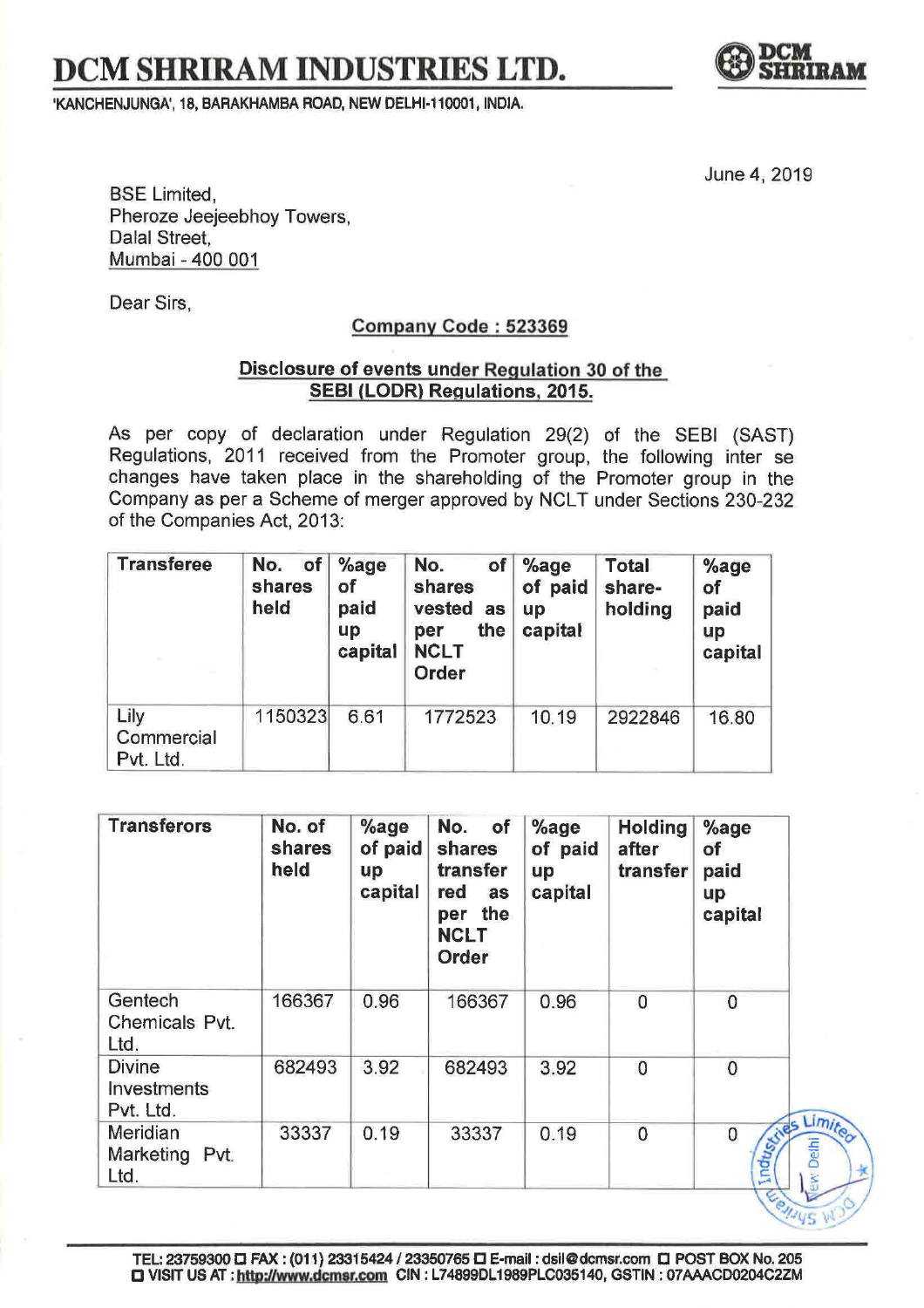## $DCM$ **SHRIRAM INDUSTRIES LTD.**

**<sup>1</sup>KANCHENJUNGN, 18, BARAKHAMBA ROAD, NEW DELHI-110001, INDIA.** 



June 4, 2019

BSE Limited, Pheroze Jeejeebhoy Towers, Dalal Street, Mumbai - 400 001

Dear Sirs,

## **Company Code : 523369**

## **Disclosure of events under Regulation 30 of the SEBI(LODR) Regulations, 2015.**

As per copy of declaration under Regulation 29(2) of the SEBI (SAST) Regulations, 2011 received from the Promoter group, the following inter se changes have taken place in the shareholding of the Promoter group in the Company as per a Scheme of merger approved by NCLT under Sections 230-232 of the Companies Act, 2013:

| <b>Transferee</b>               | No.<br><b>of</b><br>shares<br>held | $%$ age<br>of<br>paid<br>up<br>capital | No.<br>of <sub>l</sub><br>shares<br>vested<br>as<br>the<br>per<br><b>NCLT</b><br>Order | $%$ age<br>of paid<br>up<br>capital | <b>Total</b><br>share-<br>holding | $%$ age<br>of<br>paid<br>up<br>capital |
|---------------------------------|------------------------------------|----------------------------------------|----------------------------------------------------------------------------------------|-------------------------------------|-----------------------------------|----------------------------------------|
| Lily<br>Commercial<br>Pvt. Ltd. | 1150323                            | 6.61                                   | 1772523                                                                                | 10.19                               | 2922846                           | 16.80                                  |

| <b>Transferors</b>                        | No. of<br>shares<br>held | $%$ age<br>of paid<br><b>up</b><br>capital | No.<br>of<br>shares<br>transfer<br>red<br>as<br>the<br>per<br><b>NCLT</b><br>Order | $%$ age<br>of paid<br>up<br>capital | <b>Holding</b><br>after<br>transfer | $%$ age<br>of<br>paid<br>up<br>capital               |
|-------------------------------------------|--------------------------|--------------------------------------------|------------------------------------------------------------------------------------|-------------------------------------|-------------------------------------|------------------------------------------------------|
| Gentech<br>Chemicals Pvt.<br>Ltd.         | 166367                   | 0.96                                       | 166367                                                                             | 0.96                                | $\overline{0}$                      | $\mathbf 0$                                          |
| <b>Divine</b><br>Investments<br>Pvt. Ltd. | 682493                   | 3.92                                       | 682493                                                                             | 3.92                                | $\mathbf 0$                         | $\overline{0}$                                       |
| Meridian<br>Marketing Pvt.<br>Ltd.        | 33337                    | 0.19                                       | 33337                                                                              | 0.19                                | $\mathbf 0$                         | $\frac{C}{C}$<br>$\overline{0}$<br>Indus<br>ew Delhi |